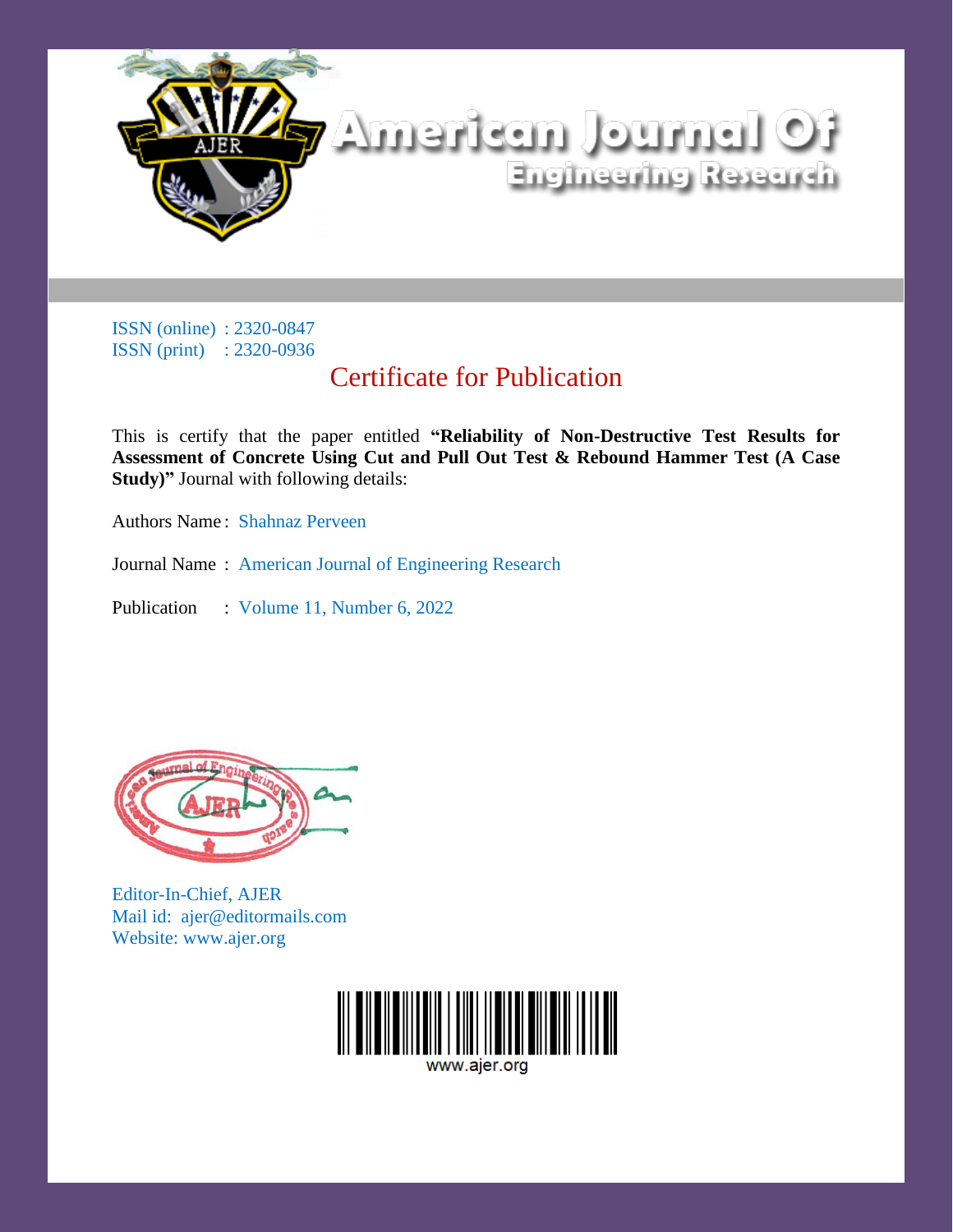

## Certificate for Publication

This is certify that the paper entitled **"Reliability of Non-Destructive Test Results for Assessment of Concrete Using Cut and Pull Out Test & Rebound Hammer Test (A Case Study)"** Journal with following details:

Authors Name : Shahnaz Perveen

Journal Name : American Journal of Engineering Research

Publication : Volume 11, Number 6, 2022



Editor-In-Chief, AJER Mail id: ajer@editormails.com Website: www.ajer.org

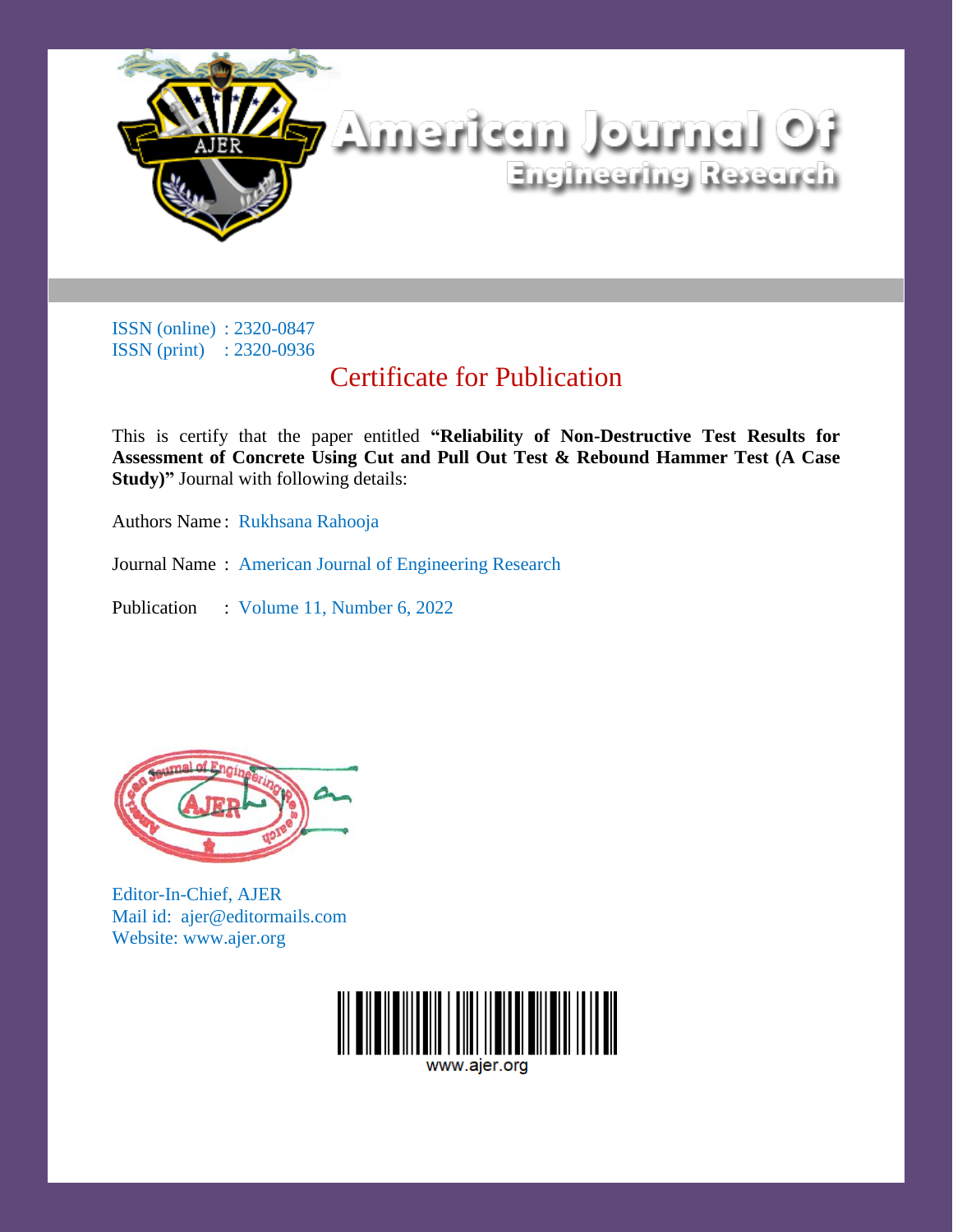

## Certificate for Publication

This is certify that the paper entitled **"Reliability of Non-Destructive Test Results for Assessment of Concrete Using Cut and Pull Out Test & Rebound Hammer Test (A Case Study)"** Journal with following details:

Authors Name : Rukhsana Rahooja

Journal Name : American Journal of Engineering Research

Publication : Volume 11, Number 6, 2022



Editor-In-Chief, AJER Mail id: ajer@editormails.com Website: www.ajer.org

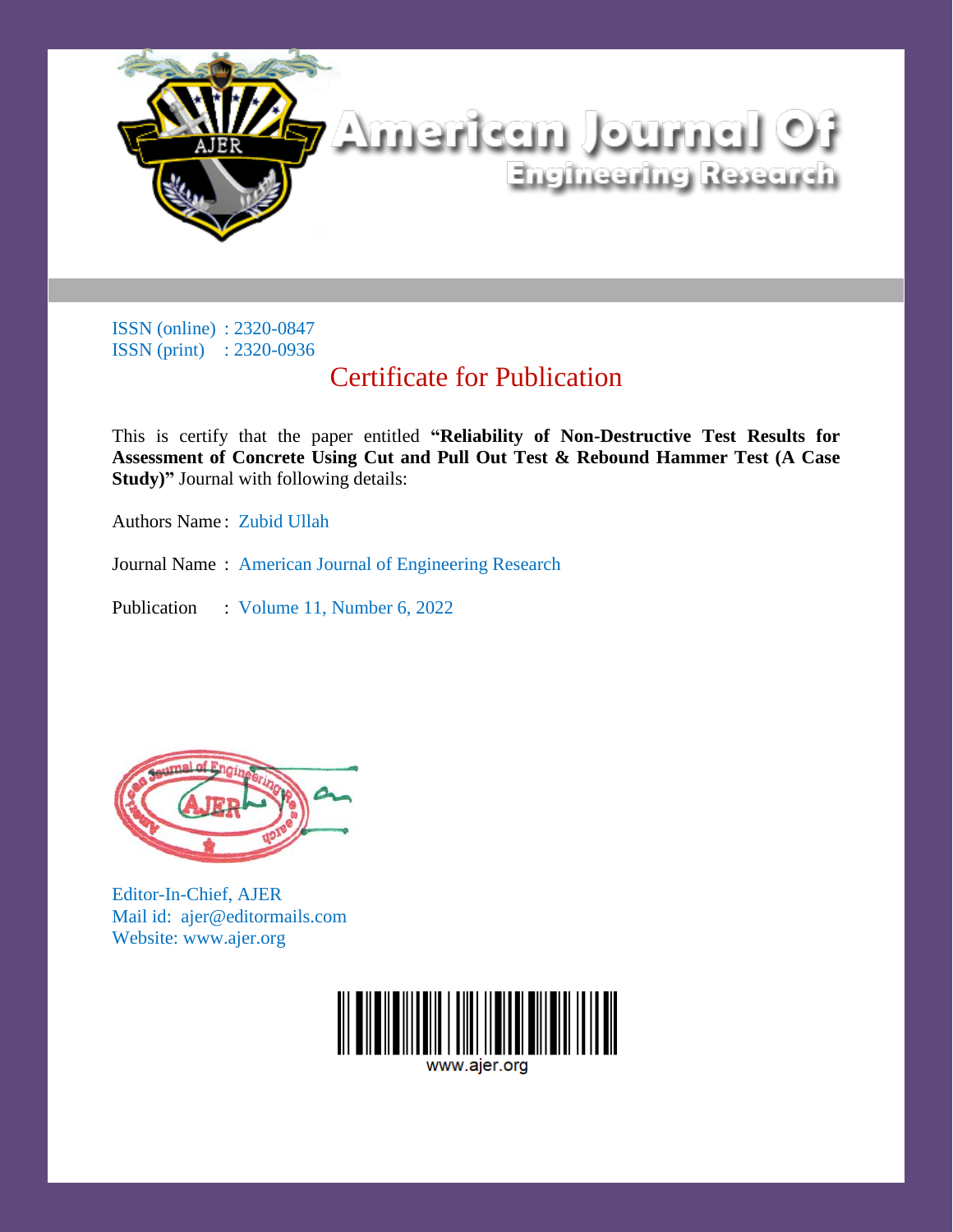

## Certificate for Publication

This is certify that the paper entitled **"Reliability of Non-Destructive Test Results for Assessment of Concrete Using Cut and Pull Out Test & Rebound Hammer Test (A Case Study)"** Journal with following details:

Authors Name : Zubid Ullah

Journal Name : American Journal of Engineering Research

Publication : Volume 11, Number 6, 2022



Editor-In-Chief, AJER Mail id: ajer@editormails.com Website: www.ajer.org